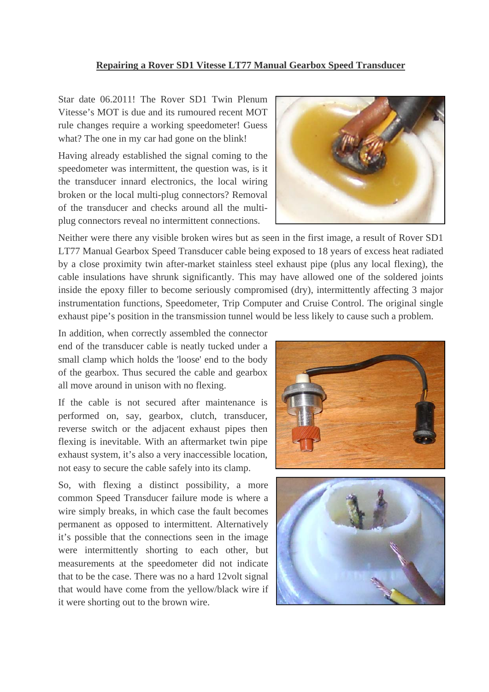## **Repairing a Rover SD1 Vitesse LT77 Manual Gearbox Speed Transducer**

Star date 06.2011! The Rover SD1 Twin Plenum Vitesse's MOT is due and its rumoured recent MOT rule changes require a working speedometer! Guess what? The one in my car had gone on the blink!

Having already established the signal coming to the speedometer was intermittent, the question was, is it the transducer innard electronics, the local wiring broken or the local multi-plug connectors? Removal of the transducer and checks around all the multiplug connectors reveal no intermittent connections.



Neither were there any visible broken wires but as seen in the first image, a result of Rover SD1 LT77 Manual Gearbox Speed Transducer cable being exposed to 18 years of excess heat radiated by a close proximity twin after-market stainless steel exhaust pipe (plus any local flexing), the cable insulations have shrunk significantly. This may have allowed one of the soldered joints inside the epoxy filler to become seriously compromised (dry), intermittently affecting 3 major instrumentation functions, Speedometer, Trip Computer and Cruise Control. The original single exhaust pipe's position in the transmission tunnel would be less likely to cause such a problem.

In addition, when correctly assembled the connector end of the transducer cable is neatly tucked under a small clamp which holds the 'loose' end to the body of the gearbox. Thus secured the cable and gearbox all move around in unison with no flexing.

If the cable is not secured after maintenance is performed on, say, gearbox, clutch, transducer, reverse switch or the adjacent exhaust pipes then flexing is inevitable. With an aftermarket twin pipe exhaust system, it's also a very inaccessible location, not easy to secure the cable safely into its clamp.

So, with flexing a distinct possibility, a more common Speed Transducer failure mode is where a wire simply breaks, in which case the fault becomes permanent as opposed to intermittent. Alternatively it's possible that the connections seen in the image were intermittently shorting to each other, but measurements at the speedometer did not indicate that to be the case. There was no a hard 12volt signal that would have come from the yellow/black wire if it were shorting out to the brown wire.